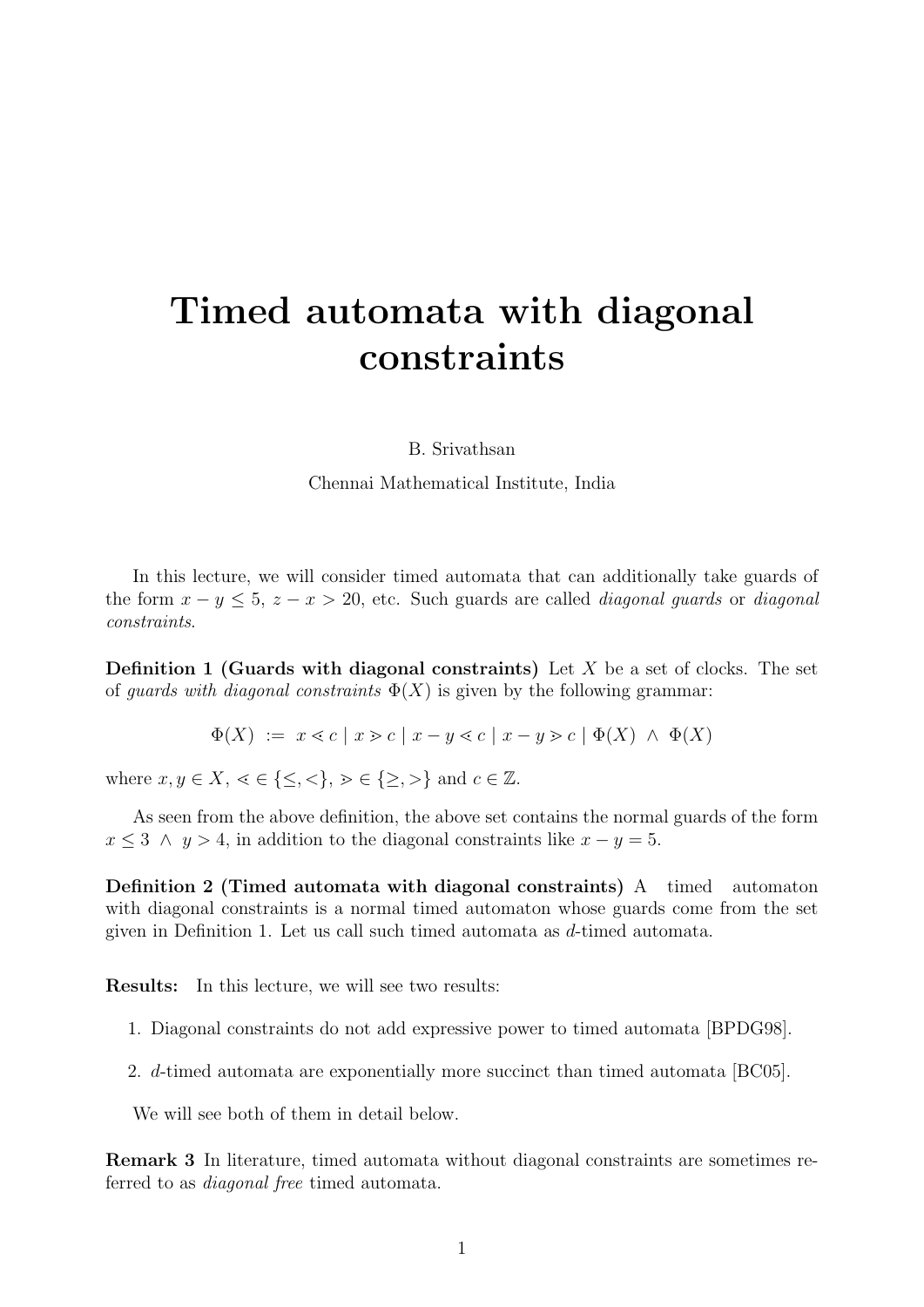# Timed automata with diagonal constraints

B. Srivathsan

Chennai Mathematical Institute, India

In this lecture, we will consider timed automata that can additionally take guards of the form  $x - y \le 5$ ,  $z - x > 20$ , etc. Such guards are called *diagonal guards* or *diagonal* constraints.

<span id="page-0-0"></span>**Definition 1 (Guards with diagonal constraints)** Let  $X$  be a set of clocks. The set of *guards with diagonal constraints*  $\Phi(X)$  is given by the following grammar:

$$
\Phi(X) := x \leq c | x \geq c | x - y \leq c | x - y \geq c | \Phi(X) \land \Phi(X)
$$

where  $x, y \in X, \leq \{\leq, \leq\}, \geq \in \{\geq, \geq\}$  and  $c \in \mathbb{Z}$ .

As seen from the above definition, the above set contains the normal guards of the form  $x \leq 3 \land y > 4$ , in addition to the diagonal constraints like  $x - y = 5$ .

Definition 2 (Timed automata with diagonal constraints) A timed automaton with diagonal constraints is a normal timed automaton whose guards come from the set given in Definition [1.](#page-0-0) Let us call such timed automata as d-timed automata.

Results: In this lecture, we will see two results:

- 1. Diagonal constraints do not add expressive power to timed automata [\[BPDG98\]](#page-4-0).
- 2. d-timed automata are exponentially more succinct than timed automata [\[BC05\]](#page-4-1).

We will see both of them in detail below.

Remark 3 In literature, timed automata without diagonal constraints are sometimes referred to as diagonal free timed automata.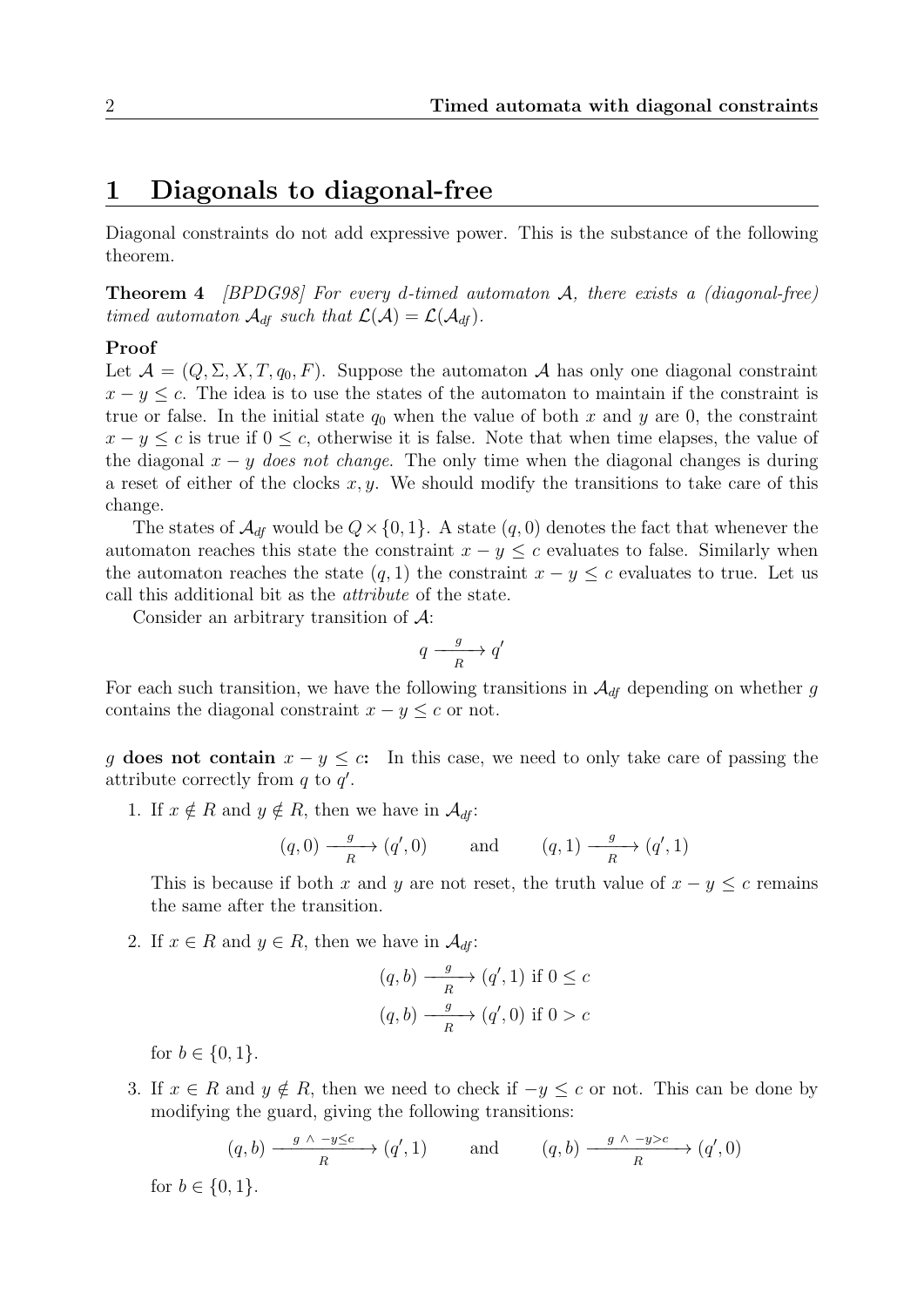# 1 Diagonals to diagonal-free

Diagonal constraints do not add expressive power. This is the substance of the following theorem.

**Theorem 4** [\[BPDG98\]](#page-4-0) For every d-timed automaton  $A$ , there exists a (diagonal-free) timed automaton  $\mathcal{A}_{df}$  such that  $\mathcal{L}(\mathcal{A}) = \mathcal{L}(\mathcal{A}_{df})$ .

#### Proof

Let  $\mathcal{A} = (Q, \Sigma, X, T, q_0, F)$ . Suppose the automaton  $\mathcal{A}$  has only one diagonal constraint  $x - y \leq c$ . The idea is to use the states of the automaton to maintain if the constraint is true or false. In the initial state  $q_0$  when the value of both x and y are 0, the constraint  $x - y \leq c$  is true if  $0 \leq c$ , otherwise it is false. Note that when time elapses, the value of the diagonal  $x - y$  does not change. The only time when the diagonal changes is during a reset of either of the clocks  $x, y$ . We should modify the transitions to take care of this change.

The states of  $\mathcal{A}_{df}$  would be  $Q \times \{0, 1\}$ . A state  $(q, 0)$  denotes the fact that whenever the automaton reaches this state the constraint  $x - y \leq c$  evaluates to false. Similarly when the automaton reaches the state  $(q, 1)$  the constraint  $x - y \leq c$  evaluates to true. Let us call this additional bit as the attribute of the state.

Consider an arbitrary transition of A:

$$
q \xrightarrow[R]{g} q'
$$

For each such transition, we have the following transitions in  $\mathcal{A}_{df}$  depending on whether g contains the diagonal constraint  $x - y \leq c$  or not.

g does not contain  $x - y \leq c$ : In this case, we need to only take care of passing the attribute correctly from  $q$  to  $q'$ .

1. If  $x \notin R$  and  $y \notin R$ , then we have in  $\mathcal{A}_{df}$ :

$$
(q, 0) \xrightarrow{g} (q', 0)
$$
 and  $(q, 1) \xrightarrow{g} (q', 1)$ 

This is because if both x and y are not reset, the truth value of  $x - y \leq c$  remains the same after the transition.

2. If  $x \in R$  and  $y \in R$ , then we have in  $\mathcal{A}_{df}$ :

$$
(q, b) \xrightarrow[R]{g} (q', 1) \text{ if } 0 \le c
$$

$$
(q, b) \xrightarrow[R]{g} (q', 0) \text{ if } 0 > c
$$

for  $b \in \{0, 1\}$ .

3. If  $x \in R$  and  $y \notin R$ , then we need to check if  $-y \leq c$  or not. This can be done by modifying the guard, giving the following transitions:

$$
(q, b) \xrightarrow{\begin{array}{c} g \wedge -y \leq c \\ R \end{array}} (q', 1)
$$
 and  $(q, b) \xrightarrow{\begin{array}{c} g \wedge -y > c \\ R \end{array}} (q', 0)$ 

for  $b \in \{0, 1\}.$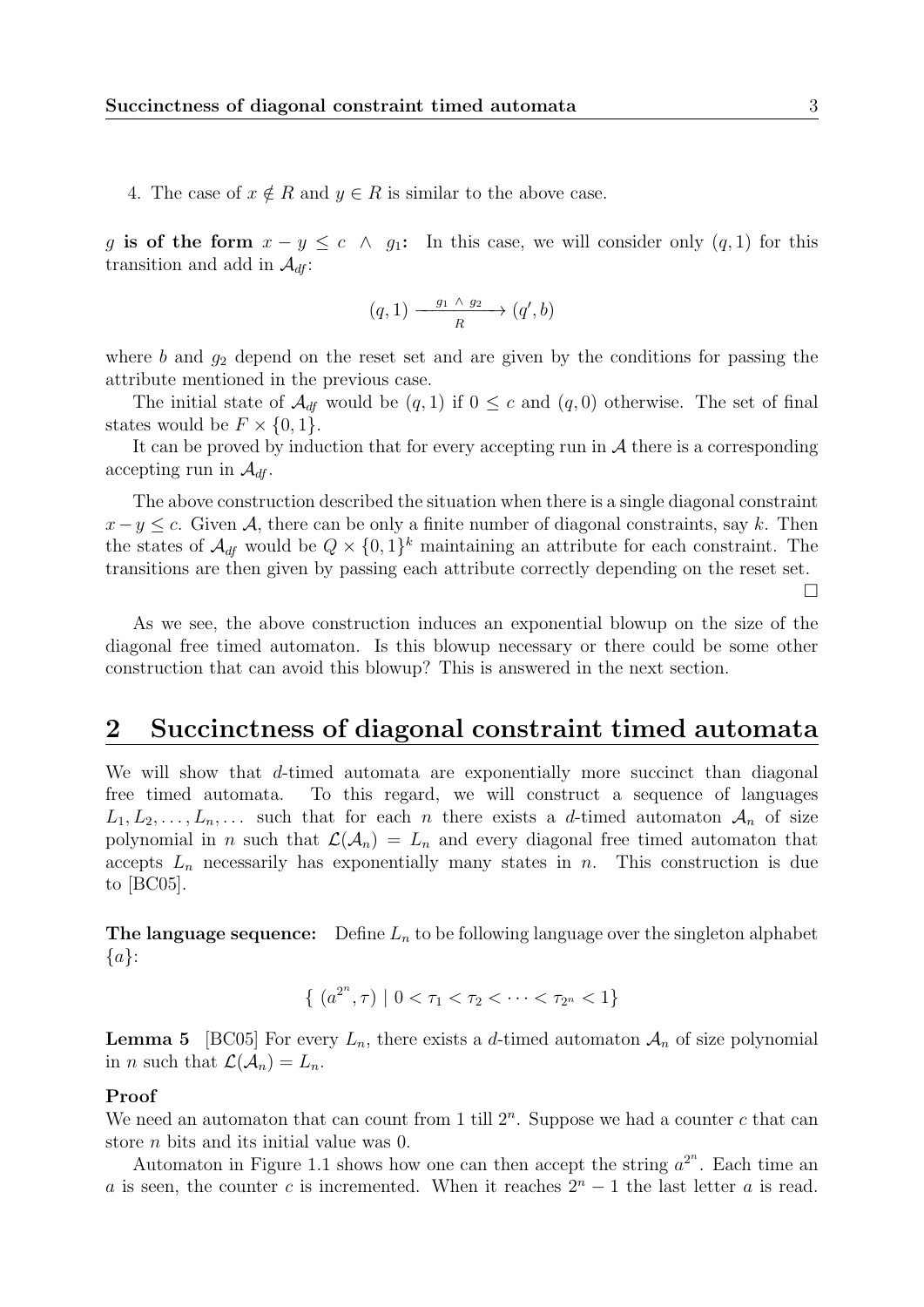4. The case of  $x \notin R$  and  $y \in R$  is similar to the above case.

g is of the form  $x - y \leq c \land g_1$ : In this case, we will consider only  $(q, 1)$  for this transition and add in  $\mathcal{A}_{df}$ :

$$
(q,1) \xrightarrow{\qquad g_1 \wedge g_2} \qquad (q',b)
$$

where  $b$  and  $g_2$  depend on the reset set and are given by the conditions for passing the attribute mentioned in the previous case.

The initial state of  $\mathcal{A}_{df}$  would be  $(q, 1)$  if  $0 \leq c$  and  $(q, 0)$  otherwise. The set of final states would be  $F \times \{0,1\}.$ 

It can be proved by induction that for every accepting run in  $A$  there is a corresponding accepting run in  $\mathcal{A}_{df}$ .

The above construction described the situation when there is a single diagonal constraint  $x-y \leq c$ . Given A, there can be only a finite number of diagonal constraints, say k. Then the states of  $\mathcal{A}_{df}$  would be  $Q \times \{0,1\}^k$  maintaining an attribute for each constraint. The transitions are then given by passing each attribute correctly depending on the reset set.

 $\Box$ 

As we see, the above construction induces an exponential blowup on the size of the diagonal free timed automaton. Is this blowup necessary or there could be some other construction that can avoid this blowup? This is answered in the next section.

### 2 Succinctness of diagonal constraint timed automata

We will show that d-timed automata are exponentially more succinct than diagonal free timed automata. To this regard, we will construct a sequence of languages  $L_1, L_2, \ldots, L_n, \ldots$  such that for each n there exists a d-timed automaton  $\mathcal{A}_n$  of size polynomial in n such that  $\mathcal{L}(\mathcal{A}_n) = L_n$  and every diagonal free timed automaton that accepts  $L_n$  necessarily has exponentially many states in n. This construction is due to [\[BC05\]](#page-4-1).

**The language sequence:** Define  $L_n$  to be following language over the singleton alphabet  ${a}$ :

$$
\{ (a^{2^n}, \tau) \mid 0 < \tau_1 < \tau_2 < \cdots < \tau_{2^n} < 1 \}
$$

**Lemma 5** [\[BC05\]](#page-4-1) For every  $L_n$ , there exists a d-timed automaton  $A_n$  of size polynomial in *n* such that  $\mathcal{L}(\mathcal{A}_n) = L_n$ .

#### Proof

We need an automaton that can count from 1 till  $2^n$ . Suppose we had a counter c that can store *n* bits and its initial value was 0.

Automaton in Figure [1.1](#page-3-0) shows how one can then accept the string  $a^{2^n}$ . Each time an a is seen, the counter c is incremented. When it reaches  $2<sup>n</sup> - 1$  the last letter a is read.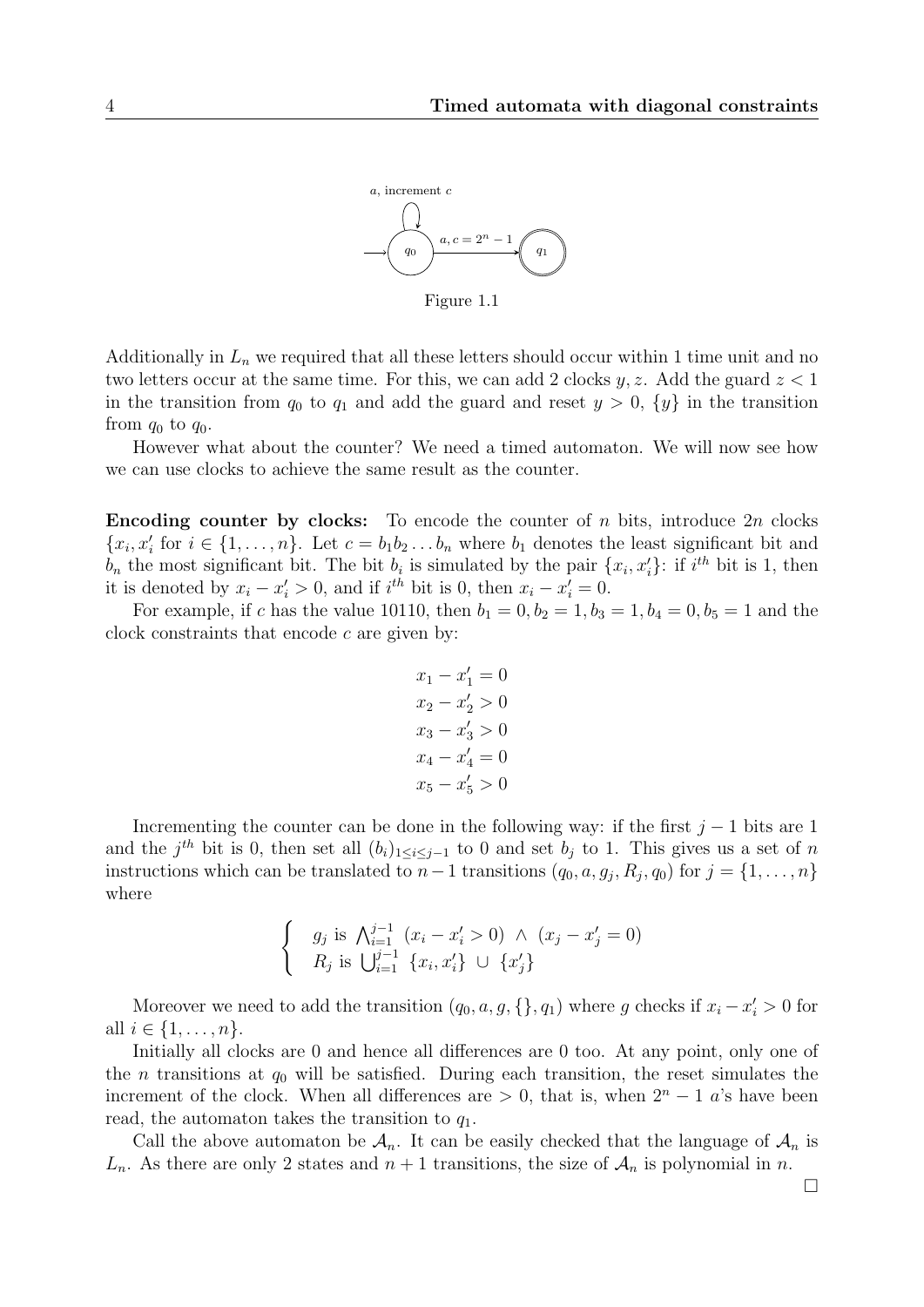

Figure 1.1

Additionally in  $L_n$  we required that all these letters should occur within 1 time unit and no two letters occur at the same time. For this, we can add 2 clocks  $y, z$ . Add the guard  $z < 1$ in the transition from  $q_0$  to  $q_1$  and add the guard and reset  $y > 0$ ,  $\{y\}$  in the transition from  $q_0$  to  $q_0$ .

However what about the counter? We need a timed automaton. We will now see how we can use clocks to achieve the same result as the counter.

**Encoding counter by clocks:** To encode the counter of n bits, introduce  $2n$  clocks  ${x_i, x'_i}$  for  $i \in \{1, ..., n\}$ . Let  $c = b_1 b_2 ... b_n$  where  $b_1$  denotes the least significant bit and  $b_n$  the most significant bit. The bit  $b_i$  is simulated by the pair  $\{x_i, x'_i\}$ : if  $i^{th}$  bit is 1, then it is denoted by  $x_i - x'_i > 0$ , and if  $i^{th}$  bit is 0, then  $x_i - x'_i = 0$ .

For example, if c has the value 10110, then  $b_1 = 0, b_2 = 1, b_3 = 1, b_4 = 0, b_5 = 1$  and the clock constraints that encode  $c$  are given by:

$$
x_1 - x'_1 = 0
$$
  
\n
$$
x_2 - x'_2 > 0
$$
  
\n
$$
x_3 - x'_3 > 0
$$
  
\n
$$
x_4 - x'_4 = 0
$$
  
\n
$$
x_5 - x'_5 > 0
$$

Incrementing the counter can be done in the following way: if the first  $j-1$  bits are 1 and the j<sup>th</sup> bit is 0, then set all  $(b_i)_{1 \leq i \leq j-1}$  to 0 and set  $b_j$  to 1. This gives us a set of n instructions which can be translated to  $n-1$  transitions  $(q_0, a, g_j, R_j, q_0)$  for  $j = \{1, \ldots, n\}$ where

$$
\begin{cases} g_j \text{ is } \bigwedge_{i=1}^{j-1} (x_i - x'_i > 0) \bigwedge (x_j - x'_j = 0) \\ R_j \text{ is } \bigcup_{i=1}^{j-1} \{x_i, x'_i\} \bigcup \{x'_j\} \end{cases}
$$

Moreover we need to add the transition  $(q_0, a, g, \{\}, q_1)$  where g checks if  $x_i - x'_i > 0$  for all  $i \in \{1, ..., n\}$ .

Initially all clocks are 0 and hence all differences are 0 too. At any point, only one of the *n* transitions at  $q_0$  will be satisfied. During each transition, the reset simulates the increment of the clock. When all differences are  $> 0$ , that is, when  $2<sup>n</sup> - 1$  a's have been read, the automaton takes the transition to  $q_1$ .

Call the above automaton be  $\mathcal{A}_n$ . It can be easily checked that the language of  $\mathcal{A}_n$  is  $L_n$ . As there are only 2 states and  $n+1$  transitions, the size of  $\mathcal{A}_n$  is polynomial in n.

<span id="page-3-0"></span>